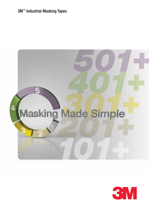# 3M™ Industrial Masking Tapes



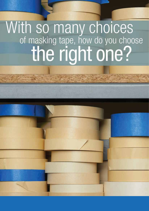# With so many choices<br>of masking tape, how do you choose<br>the right one?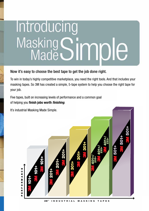# Introducing Masking Simple

## Now it's easy to choose the best tape to get the job done right.

To win in today's highly competitive marketplace, you need the right tools. And that includes your  $\blacksquare$  masking tapes. So 3M has created a simple, 5-tape system to help you choose the right tape for your job.

**EXECUTE:** Five tapes, built on increasing levels of performance and a common goal To win in today's highly competitive marketplace, you need the right tools. And that includes your

**y** of helping you **finish jobs worth** *finishing*. **Figure 11** It's industrial Masking Made Simple. of helping you **finish jobs worth** *finishing.* It's industrial Masking Made Simple. PERFORMANCE CONTROL *101+* Ш PERFORMANCE MANC *101+*  $\alpha$  $\bullet$ 3M™ INDUSTRIAL MASKING TAPES  $\mathbf{u}$  $\mathbf{r}$ Ш 3M™ INDUSTRIAL MASKING TAPES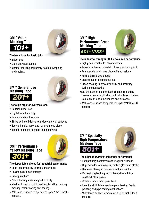# **3M™ Value Masking Tape** *101+*



#### **The basic tape for basic jobs**

- Indoor use
- Light-duty applications
- Ideal for marking, temporary holding, wrapping and sealing.

# **3M™ General Use Masking Tape** *201+*



#### **The tough tape for everyday jobs**

- General indoor use
- Light-to-medium duty
- Smooth and conformable
- Sticks with confidence to a wide variety of surfaces
- Easy to handle, apply and remove in one piece
- Ideal for bundling, labeling and identifying

# **3M™ Performance Yellow Masking Tape** *301+*



#### **The dependable choice for industrial performance**

- Good conformability to irregular surfaces
- Resists paint bleed-through
- Great paint lines
- Yellow backing ensures good visibility
- Ideal for industrial paint masking, bundling, holding, marking, colour coding and sealing.
- Withstands surface temperatures up to 107°C for 30 minutes.

### **3M™ High Performance Green Masking Tape** *401+/233+*



#### **The industrial strength GREEN coloured performance**

- Highly conformable to many surfaces
- Superior adhesion to metal, rubber, glass and plastic
- Removes cleanly in one piece with no residue
- Resists paint bleed-through
- Creates super-sharp paint lines
- Green backing improves visibility and accuracy during paint masking.
- •Idealforhighperformanceindustrialpainting,including two-tone colour application on trucks, buses, trailers, trains, fire trucks, ambulances and airplanes.
- Withstands surface temperatures up to 121°C for 30 minutes.

# **3M™ Specialty High Temperature Masking Tape** *501+*



#### **The highest** *degree* **of industrial performance**

- Exceptionally conformable to irregular surfaces
- Superior adhesion to metal, rubber, glass and plastic
- Removes cleanly in one piece with no residue
- Extra-strong backing resists bleed-through from most industrial paints.
- Creates super-sharp paint lines
- Ideal for all high temperature paint baking, fascia painting and pipe coating applications.
- Withstands surface temperatures up to 149°C for 30 minutes.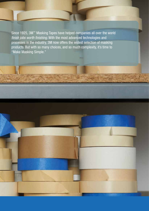Since 1925, 3M™ Masking Tapes have helped companies all over the world *finish jobs worth finishing*. With the most advanced technologies and processes in the industry, 3M now offers the widest selection of masking products. But with so many choices, and so much complexity, it's time to "Make Masking Simple."